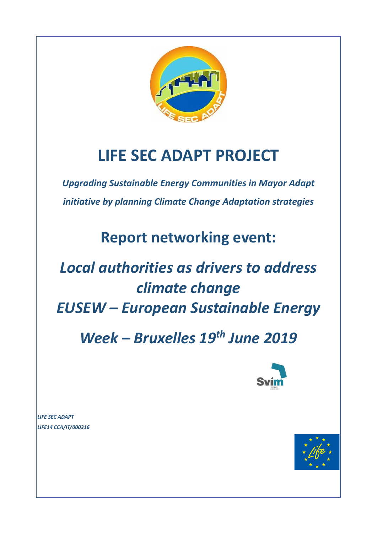

# **LIFE SEC ADAPT PROJECT**

*Upgrading Sustainable Energy Communities in Mayor Adapt initiative by planning Climate Change Adaptation strategies*

**Report networking event:**

# *Local authorities as drivers to address climate change EUSEW – European Sustainable Energy*

*Week – Bruxelles 19th June 2019*



*LIFE SEC ADAPT LIFE14 CCA/IT/000316*

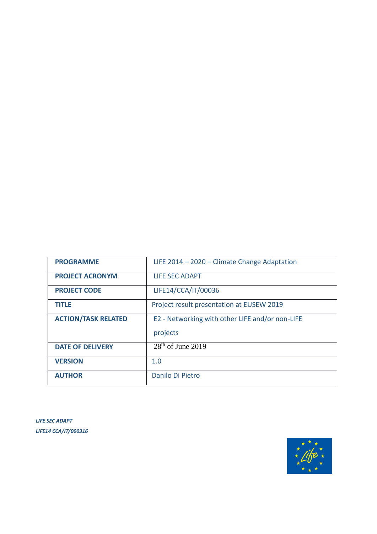| <b>PROGRAMME</b>           | LIFE $2014 - 2020 -$ Climate Change Adaptation  |
|----------------------------|-------------------------------------------------|
| <b>PROJECT ACRONYM</b>     | LIFE SEC ADAPT                                  |
| <b>PROJECT CODE</b>        | LIFE14/CCA/IT/00036                             |
| <b>TITLE</b>               | Project result presentation at EUSEW 2019       |
| <b>ACTION/TASK RELATED</b> | E2 - Networking with other LIFE and/or non-LIFE |
|                            | projects                                        |
| <b>DATE OF DELIVERY</b>    | $28th$ of June 2019                             |
| <b>VERSION</b>             | 1.0                                             |
| <b>AUTHOR</b>              | Danilo Di Pietro                                |

*LIFE SEC ADAPT LIFE14 CCA/IT/000316*

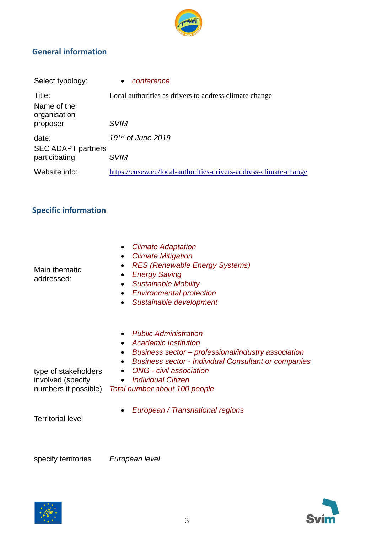

### **General information**

| Select typology:                      | conference<br>$\bullet$                                           |
|---------------------------------------|-------------------------------------------------------------------|
| Title:<br>Name of the<br>organisation | Local authorities as drivers to address climate change            |
| proposer:                             | <b>SVIM</b>                                                       |
| date:<br><b>SEC ADAPT partners</b>    | $19TH$ of June 2019                                               |
| participating                         | <i><b>SVIM</b></i>                                                |
| Website info:                         | https://eusew.eu/local-authorities-drivers-address-climate-change |

## **Specific information**

| Main thematic<br>addressed:                                       | <b>Climate Adaptation</b><br>$\bullet$<br><b>Climate Mitigation</b><br><b>RES (Renewable Energy Systems)</b><br>$\bullet$<br><b>Energy Saving</b><br>$\bullet$<br><b>Sustainable Mobility</b><br>$\bullet$<br><b>Environmental protection</b><br>$\bullet$<br>Sustainable development<br>$\bullet$                                                |
|-------------------------------------------------------------------|---------------------------------------------------------------------------------------------------------------------------------------------------------------------------------------------------------------------------------------------------------------------------------------------------------------------------------------------------|
| type of stakeholders<br>involved (specify<br>numbers if possible) | <b>Public Administration</b><br>$\bullet$<br>Academic Institution<br>$\bullet$<br>Business sector - professional/industry association<br>$\bullet$<br><b>Business sector - Individual Consultant or companies</b><br>$\bullet$<br><b>ONG</b> - civil association<br>$\bullet$<br>Individual Citizen<br>$\bullet$<br>Total number about 100 people |
| Territorial level                                                 | European / Transnational regions                                                                                                                                                                                                                                                                                                                  |

Territorial level

specify territories *European level*

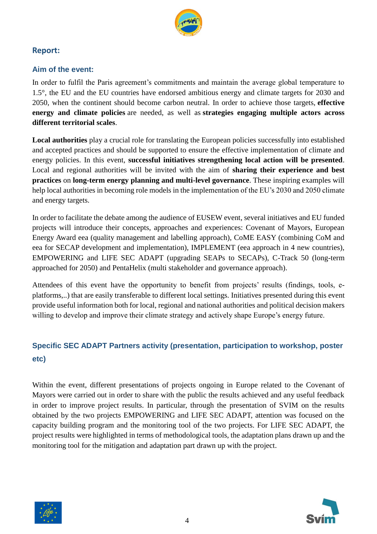

#### **Report:**

#### **Aim of the event:**

In order to fulfil the Paris agreement's commitments and maintain the average global temperature to 1.5°, the EU and the EU countries have endorsed ambitious energy and climate targets for 2030 and 2050, when the continent should become carbon neutral. In order to achieve those targets, **effective energy and climate policies** are needed, as well as **strategies engaging multiple actors across different territorial scales**.

**Local authorities** play a crucial role for translating the European policies successfully into established and accepted practices and should be supported to ensure the effective implementation of climate and energy policies. In this event, **successful initiatives strengthening local action will be presented**. Local and regional authorities will be invited with the aim of **sharing their experience and best practices** on **long-term energy planning and multi-level governance**. These inspiring examples will help local authorities in becoming role models in the implementation of the EU's 2030 and 2050 climate and energy targets.

In order to facilitate the debate among the audience of EUSEW event, several initiatives and EU funded projects will introduce their concepts, approaches and experiences: Covenant of Mayors, European Energy Award eea (quality management and labelling approach), CoME EASY (combining CoM and eea for SECAP development and implementation), IMPLEMENT (eea approach in 4 new countries), EMPOWERING and LIFE SEC ADAPT (upgrading SEAPs to SECAPs), C-Track 50 (long-term approached for 2050) and PentaHelix (multi stakeholder and governance approach).

Attendees of this event have the opportunity to benefit from projects' results (findings, tools, eplatforms,..) that are easily transferable to different local settings. Initiatives presented during this event provide useful information both for local, regional and national authorities and political decision makers willing to develop and improve their climate strategy and actively shape Europe's energy future.

### **Specific SEC ADAPT Partners activity (presentation, participation to workshop, poster etc)**

Within the event, different presentations of projects ongoing in Europe related to the Covenant of Mayors were carried out in order to share with the public the results achieved and any useful feedback in order to improve project results. In particular, through the presentation of SVIM on the results obtained by the two projects EMPOWERING and LIFE SEC ADAPT, attention was focused on the capacity building program and the monitoring tool of the two projects. For LIFE SEC ADAPT, the project results were highlighted in terms of methodological tools, the adaptation plans drawn up and the monitoring tool for the mitigation and adaptation part drawn up with the project.